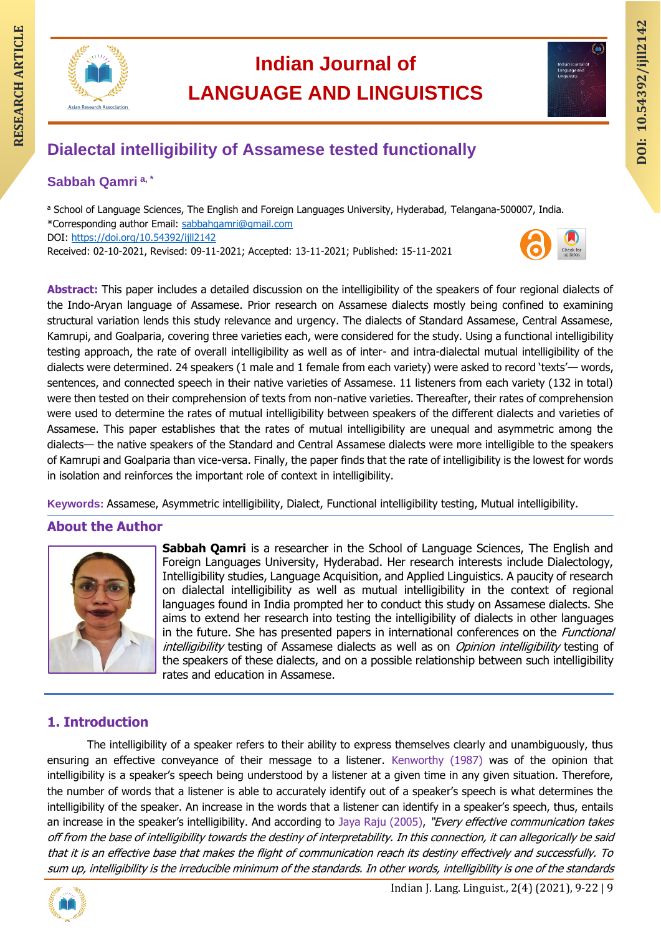

# **Indian Journal of LANGUAGE AND LINGUISTICS RESEARCH ARTICLE INCLUDED INCLUDED INCLUSTICS**<br> **RESEARCH ARTICLE ARTICLE INCLUSTICS**<br>
Dialectal intelligibility of Assamese tested functionally<br>
and the state of the state of the state of the state of the state of the st



# **RESEARCH ARTICLE Dialectal intelligibility of Assamese tested functionally**

# **Sabbah Qamri a, \***

a School of Language Sciences, The English and Foreign Languages University, Hyderabad, Telangana-500007, India. \*Corresponding author Email: [sabbahqamri@gmail.com](mailto:sabbahqamri@gmail.com) DOI:<https://doi.org/10.54392/ijll2142> Received: 02-10-2021, Revised: 09-11-2021; Accepted: 13-11-2021; Published: 15-11-2021

**Abstract:** This paper includes a detailed discussion on the intelligibility of the speakers of four regional dialects of the Indo-Aryan language of Assamese. Prior research on Assamese dialects mostly being confined to examining structural variation lends this study relevance and urgency. The dialects of Standard Assamese, Central Assamese, Kamrupi, and Goalparia, covering three varieties each, were considered for the study. Using a functional intelligibility testing approach, the rate of overall intelligibility as well as of inter- and intra-dialectal mutual intelligibility of the dialects were determined. 24 speakers (1 male and 1 female from each variety) were asked to record 'texts'— words, sentences, and connected speech in their native varieties of Assamese. 11 listeners from each variety (132 in total) were then tested on their comprehension of texts from non-native varieties. Thereafter, their rates of comprehension were used to determine the rates of mutual intelligibility between speakers of the different dialects and varieties of Assamese. This paper establishes that the rates of mutual intelligibility are unequal and asymmetric among the dialects— the native speakers of the Standard and Central Assamese dialects were more intelligible to the speakers of Kamrupi and Goalparia than vice-versa. Finally, the paper finds that the rate of intelligibility is the lowest for words in isolation and reinforces the important role of context in intelligibility.

**Keywords:** Assamese, Asymmetric intelligibility, Dialect, Functional intelligibility testing, Mutual intelligibility.

# **About the Author**



**Sabbah Qamri** is a researcher in the School of Language Sciences, The English and Foreign Languages University, Hyderabad. Her research interests include Dialectology, Intelligibility studies, Language Acquisition, and Applied Linguistics. A paucity of research on dialectal intelligibility as well as mutual intelligibility in the context of regional languages found in India prompted her to conduct this study on Assamese dialects. She aims to extend her research into testing the intelligibility of dialects in other languages in the future. She has presented papers in international conferences on the *Functional* intelligibility testing of Assamese dialects as well as on Opinion intelligibility testing of the speakers of these dialects, and on a possible relationship between such intelligibility rates and education in Assamese.

# **1. Introduction**

The intelligibility of a speaker refers to their ability to express themselves clearly and unambiguously, thus ensuring an effective conveyance of their message to a listener. Kenworthy (1987) was of the opinion that intelligibility is a speaker's speech being understood by a listener at a given time in any given situation. Therefore, the number of words that a listener is able to accurately identify out of a speaker's speech is what determines the intelligibility of the speaker. An increase in the words that a listener can identify in a speaker's speech, thus, entails an increase in the speaker's intelligibility. And according to Jaya Raju (2005), "Every effective communication takes off from the base of intelligibility towards the destiny of interpretability. In this connection, it can allegorically be said that it is an effective base that makes the flight of communication reach its destiny effectively and successfully. To sum up, intelligibility is the irreducible minimum of the standards. In other words, intelligibility is one of the standards

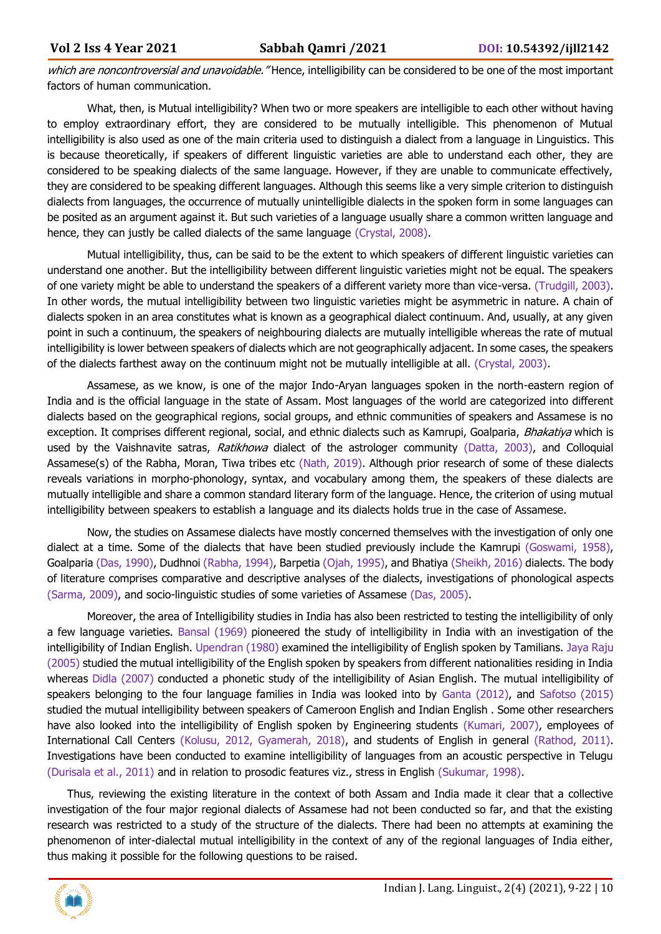which are noncontroversial and unavoidable. "Hence, intelligibility can be considered to be one of the most important factors of human communication.

What, then, is Mutual intelligibility? When two or more speakers are intelligible to each other without having to employ extraordinary effort, they are considered to be mutually intelligible. This phenomenon of Mutual intelligibility is also used as one of the main criteria used to distinguish a dialect from a language in Linguistics. This is because theoretically, if speakers of different linguistic varieties are able to understand each other, they are considered to be speaking dialects of the same language. However, if they are unable to communicate effectively, they are considered to be speaking different languages. Although this seems like a very simple criterion to distinguish dialects from languages, the occurrence of mutually unintelligible dialects in the spoken form in some languages can be posited as an argument against it. But such varieties of a language usually share a common written language and hence, they can justly be called dialects of the same language (Crystal, 2008).

Mutual intelligibility, thus, can be said to be the extent to which speakers of different linguistic varieties can understand one another. But the intelligibility between different linguistic varieties might not be equal. The speakers of one variety might be able to understand the speakers of a different variety more than vice-versa. (Trudgill, 2003). In other words, the mutual intelligibility between two linguistic varieties might be asymmetric in nature. A chain of dialects spoken in an area constitutes what is known as a geographical dialect continuum. And, usually, at any given point in such a continuum, the speakers of neighbouring dialects are mutually intelligible whereas the rate of mutual intelligibility is lower between speakers of dialects which are not geographically adjacent. In some cases, the speakers of the dialects farthest away on the continuum might not be mutually intelligible at all. (Crystal, 2003).

Assamese, as we know, is one of the major Indo-Aryan languages spoken in the north-eastern region of India and is the official language in the state of Assam. Most languages of the world are categorized into different dialects based on the geographical regions, social groups, and ethnic communities of speakers and Assamese is no exception. It comprises different regional, social, and ethnic dialects such as Kamrupi, Goalparia, Bhakatiya which is used by the Vaishnavite satras, Ratikhowa dialect of the astrologer community (Datta, 2003), and Colloquial Assamese(s) of the Rabha, Moran, Tiwa tribes etc (Nath, 2019). Although prior research of some of these dialects reveals variations in morpho-phonology, syntax, and vocabulary among them, the speakers of these dialects are mutually intelligible and share a common standard literary form of the language. Hence, the criterion of using mutual intelligibility between speakers to establish a language and its dialects holds true in the case of Assamese.

Now, the studies on Assamese dialects have mostly concerned themselves with the investigation of only one dialect at a time. Some of the dialects that have been studied previously include the Kamrupi (Goswami, 1958), Goalparia (Das, 1990), Dudhnoi (Rabha, 1994), Barpetia (Ojah, 1995), and Bhatiya (Sheikh, 2016) dialects. The body of literature comprises comparative and descriptive analyses of the dialects, investigations of phonological aspects (Sarma, 2009), and socio-linguistic studies of some varieties of Assamese (Das, 2005).

Moreover, the area of Intelligibility studies in India has also been restricted to testing the intelligibility of only a few language varieties. Bansal (1969) pioneered the study of intelligibility in India with an investigation of the intelligibility of Indian English. Upendran (1980) examined the intelligibility of English spoken by Tamilians. Jaya Raju (2005) studied the mutual intelligibility of the English spoken by speakers from different nationalities residing in India whereas Didla (2007) conducted a phonetic study of the intelligibility of Asian English. The mutual intelligibility of speakers belonging to the four language families in India was looked into by Ganta (2012), and Safotso (2015) studied the mutual intelligibility between speakers of Cameroon English and Indian English . Some other researchers have also looked into the intelligibility of English spoken by Engineering students (Kumari, 2007), employees of International Call Centers (Kolusu, 2012, Gyamerah, 2018), and students of English in general (Rathod, 2011). Investigations have been conducted to examine intelligibility of languages from an acoustic perspective in Telugu (Durisala et al., 2011) and in relation to prosodic features viz., stress in English (Sukumar, 1998).

Thus, reviewing the existing literature in the context of both Assam and India made it clear that a collective investigation of the four major regional dialects of Assamese had not been conducted so far, and that the existing research was restricted to a study of the structure of the dialects. There had been no attempts at examining the phenomenon of inter-dialectal mutual intelligibility in the context of any of the regional languages of India either, thus making it possible for the following questions to be raised.

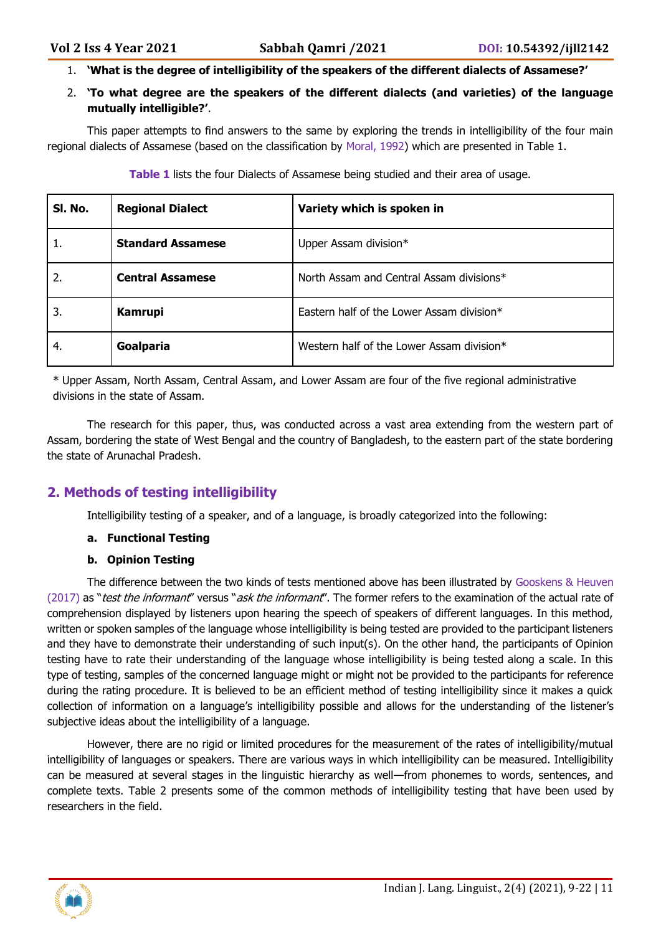- 1. **'What is the degree of intelligibility of the speakers of the different dialects of Assamese?'**
- 2. **'To what degree are the speakers of the different dialects (and varieties) of the language mutually intelligible?'**.

This paper attempts to find answers to the same by exploring the trends in intelligibility of the four main regional dialects of Assamese (based on the classification by Moral, 1992) which are presented in Table 1.

| SI. No. | <b>Regional Dialect</b>  | Variety which is spoken in                |
|---------|--------------------------|-------------------------------------------|
| 1.      | <b>Standard Assamese</b> | Upper Assam division*                     |
| 2.      | <b>Central Assamese</b>  | North Assam and Central Assam divisions*  |
| 3.      | <b>Kamrupi</b>           | Eastern half of the Lower Assam division* |
| 4.      | Goalparia                | Western half of the Lower Assam division* |

**Table 1** lists the four Dialects of Assamese being studied and their area of usage.

\* Upper Assam, North Assam, Central Assam, and Lower Assam are four of the five regional administrative divisions in the state of Assam.

The research for this paper, thus, was conducted across a vast area extending from the western part of Assam, bordering the state of West Bengal and the country of Bangladesh, to the eastern part of the state bordering the state of Arunachal Pradesh.

# **2. Methods of testing intelligibility**

Intelligibility testing of a speaker, and of a language, is broadly categorized into the following:

#### **a. Functional Testing**

#### **b. Opinion Testing**

The difference between the two kinds of tests mentioned above has been illustrated by Gooskens & Heuven (2017) as "test the informant" versus "ask the informant". The former refers to the examination of the actual rate of comprehension displayed by listeners upon hearing the speech of speakers of different languages. In this method, written or spoken samples of the language whose intelligibility is being tested are provided to the participant listeners and they have to demonstrate their understanding of such input(s). On the other hand, the participants of Opinion testing have to rate their understanding of the language whose intelligibility is being tested along a scale. In this type of testing, samples of the concerned language might or might not be provided to the participants for reference during the rating procedure. It is believed to be an efficient method of testing intelligibility since it makes a quick collection of information on a language's intelligibility possible and allows for the understanding of the listener's subjective ideas about the intelligibility of a language.

However, there are no rigid or limited procedures for the measurement of the rates of intelligibility/mutual intelligibility of languages or speakers. There are various ways in which intelligibility can be measured. Intelligibility can be measured at several stages in the linguistic hierarchy as well—from phonemes to words, sentences, and complete texts. Table 2 presents some of the common methods of intelligibility testing that have been used by researchers in the field.

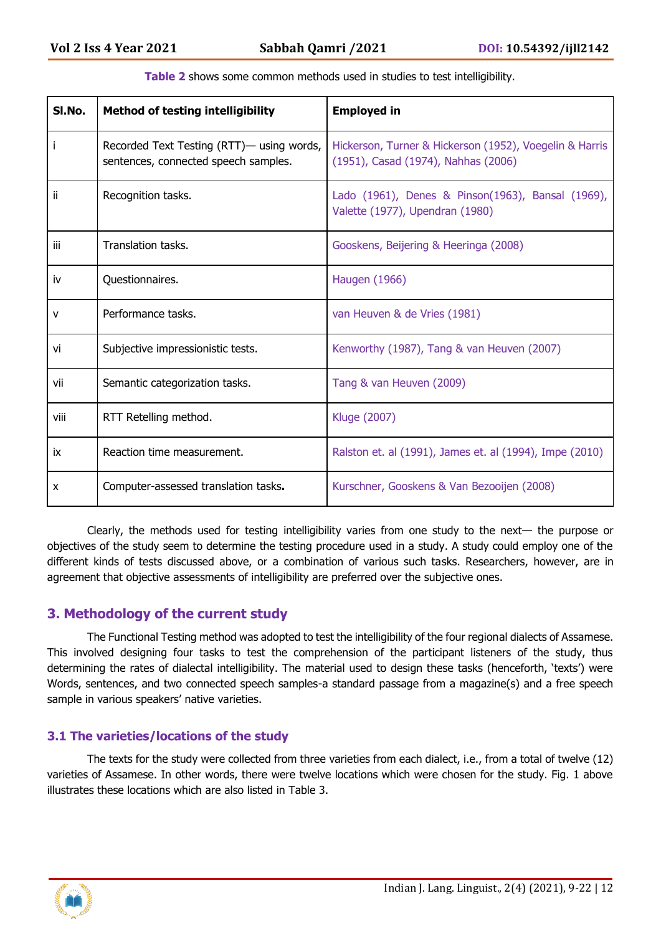| SI.No. | <b>Method of testing intelligibility</b>                                          | <b>Employed in</b>                                                                             |
|--------|-----------------------------------------------------------------------------------|------------------------------------------------------------------------------------------------|
|        | Recorded Text Testing (RTT)— using words,<br>sentences, connected speech samples. | Hickerson, Turner & Hickerson (1952), Voegelin & Harris<br>(1951), Casad (1974), Nahhas (2006) |
| ii.    | Recognition tasks.                                                                | Lado (1961), Denes & Pinson(1963), Bansal (1969),<br>Valette (1977), Upendran (1980)           |
| iii    | Translation tasks.                                                                | Gooskens, Beijering & Heeringa (2008)                                                          |
| iv     | Questionnaires.                                                                   | Haugen (1966)                                                                                  |
| v      | Performance tasks.                                                                | van Heuven & de Vries (1981)                                                                   |
| vi     | Subjective impressionistic tests.                                                 | Kenworthy (1987), Tang & van Heuven (2007)                                                     |
| vii    | Semantic categorization tasks.                                                    | Tang & van Heuven (2009)                                                                       |
| viii   | RTT Retelling method.                                                             | Kluge (2007)                                                                                   |
| ix     | Reaction time measurement.                                                        | Ralston et. al (1991), James et. al (1994), Impe (2010)                                        |
| X      | Computer-assessed translation tasks.                                              | Kurschner, Gooskens & Van Bezooijen (2008)                                                     |

| Table 2 shows some common methods used in studies to test intelligibility. |  |  |  |
|----------------------------------------------------------------------------|--|--|--|
|----------------------------------------------------------------------------|--|--|--|

Clearly, the methods used for testing intelligibility varies from one study to the next— the purpose or objectives of the study seem to determine the testing procedure used in a study. A study could employ one of the different kinds of tests discussed above, or a combination of various such tasks. Researchers, however, are in agreement that objective assessments of intelligibility are preferred over the subjective ones.

# **3. Methodology of the current study**

The Functional Testing method was adopted to test the intelligibility of the four regional dialects of Assamese. This involved designing four tasks to test the comprehension of the participant listeners of the study, thus determining the rates of dialectal intelligibility. The material used to design these tasks (henceforth, 'texts') were Words, sentences, and two connected speech samples-a standard passage from a magazine(s) and a free speech sample in various speakers' native varieties.

#### **3.1 The varieties/locations of the study**

The texts for the study were collected from three varieties from each dialect, i.e., from a total of twelve (12) varieties of Assamese. In other words, there were twelve locations which were chosen for the study. Fig. 1 above illustrates these locations which are also listed in Table 3.

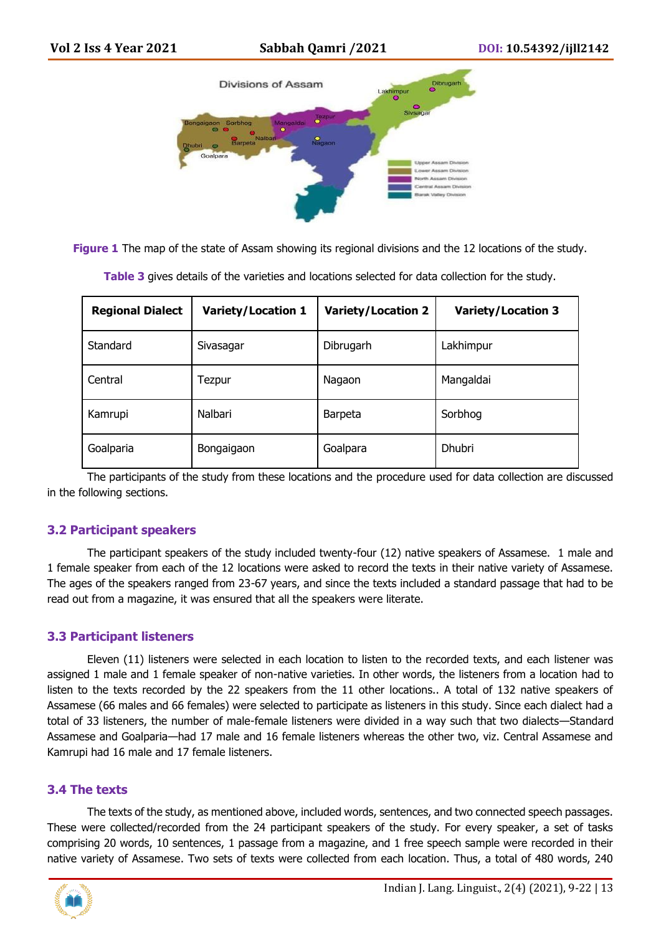

**Figure 1** The map of the state of Assam showing its regional divisions and the 12 locations of the study.

| <b>Regional Dialect</b> | <b>Variety/Location 1</b> | <b>Variety/Location 2</b> | <b>Variety/Location 3</b> |
|-------------------------|---------------------------|---------------------------|---------------------------|
| Standard                | Sivasagar                 | Dibrugarh                 | Lakhimpur                 |
| Central                 | Tezpur                    | Nagaon                    | Mangaldai                 |
| Kamrupi                 | Nalbari                   | <b>Barpeta</b>            | Sorbhog                   |
| Goalparia               | Bongaigaon                | Goalpara                  | Dhubri                    |

**Table 3** gives details of the varieties and locations selected for data collection for the study.

The participants of the study from these locations and the procedure used for data collection are discussed in the following sections.

#### **3.2 Participant speakers**

The participant speakers of the study included twenty-four (12) native speakers of Assamese. 1 male and 1 female speaker from each of the 12 locations were asked to record the texts in their native variety of Assamese. The ages of the speakers ranged from 23-67 years, and since the texts included a standard passage that had to be read out from a magazine, it was ensured that all the speakers were literate.

#### **3.3 Participant listeners**

Eleven (11) listeners were selected in each location to listen to the recorded texts, and each listener was assigned 1 male and 1 female speaker of non-native varieties. In other words, the listeners from a location had to listen to the texts recorded by the 22 speakers from the 11 other locations.. A total of 132 native speakers of Assamese (66 males and 66 females) were selected to participate as listeners in this study. Since each dialect had a total of 33 listeners, the number of male-female listeners were divided in a way such that two dialects—Standard Assamese and Goalparia—had 17 male and 16 female listeners whereas the other two, viz. Central Assamese and Kamrupi had 16 male and 17 female listeners.

#### **3.4 The texts**

The texts of the study, as mentioned above, included words, sentences, and two connected speech passages. These were collected/recorded from the 24 participant speakers of the study. For every speaker, a set of tasks comprising 20 words, 10 sentences, 1 passage from a magazine, and 1 free speech sample were recorded in their native variety of Assamese. Two sets of texts were collected from each location. Thus, a total of 480 words, 240

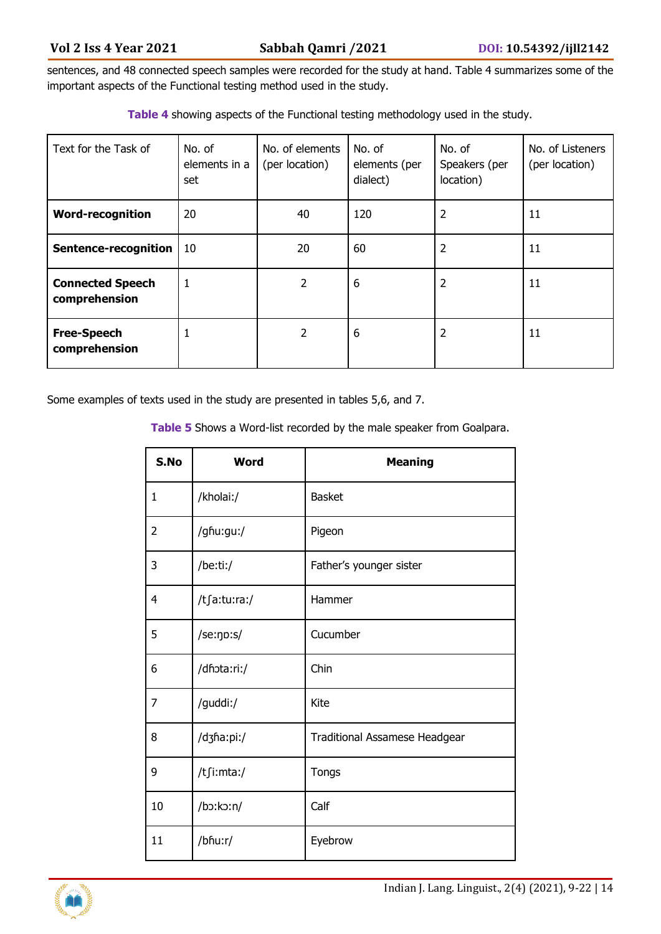sentences, and 48 connected speech samples were recorded for the study at hand. Table 4 summarizes some of the important aspects of the Functional testing method used in the study.

| Text for the Task of                     | No. of<br>elements in a<br>set | No. of elements<br>(per location) | No. of<br>elements (per<br>dialect) | No. of<br>Speakers (per<br>location) | No. of Listeners<br>(per location) |
|------------------------------------------|--------------------------------|-----------------------------------|-------------------------------------|--------------------------------------|------------------------------------|
| <b>Word-recognition</b>                  | 20                             | 40                                | 120                                 | 2                                    | 11                                 |
| Sentence-recognition                     | 10                             | 20                                | 60                                  | 2                                    | 11                                 |
| <b>Connected Speech</b><br>comprehension | 1                              | $\overline{2}$                    | 6                                   | 2                                    | 11                                 |
| <b>Free-Speech</b><br>comprehension      | 1                              | $\overline{2}$                    | 6                                   | 2                                    | 11                                 |

**Table 4** showing aspects of the Functional testing methodology used in the study.

Some examples of texts used in the study are presented in tables 5,6, and 7.

**Table 5** Shows a Word-list recorded by the male speaker from Goalpara.

| S.No           | <b>Word</b>  | <b>Meaning</b>                |
|----------------|--------------|-------------------------------|
| 1              | /kholai:/    | <b>Basket</b>                 |
| $\overline{2}$ | /ghu:gu:/    | Pigeon                        |
| 3              | /be:ti:/     | Father's younger sister       |
| 4              | /tʃa:tu:ra:/ | Hammer                        |
| 5              | /se:np:s/    | Cucumber                      |
| 6              | /dhota:ri:/  | Chin                          |
| 7              | /guddi:/     | Kite                          |
| 8              | /dʒha:pi:/   | Traditional Assamese Headgear |
| 9              | /tʃi:mta:/   | Tongs                         |
| 10             | /bɔ:kɔ:n/    | Calf                          |
| 11             | /bhu:r/      | Eyebrow                       |

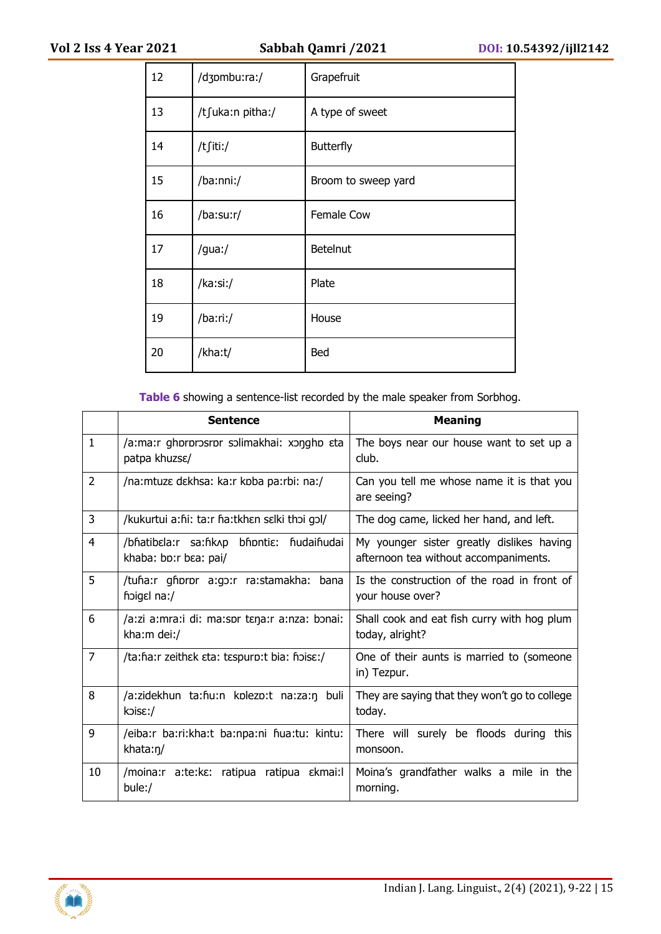| 12 | /dʒpmbu:ra:/     | Grapefruit          |
|----|------------------|---------------------|
| 13 | /tʃuka:n pitha:/ | A type of sweet     |
| 14 | /t∫iti:/         | <b>Butterfly</b>    |
| 15 | /ba:nni:/        | Broom to sweep yard |
| 16 | /ba:su:r/        | Female Cow          |
| 17 | /gua:/           | <b>Betelnut</b>     |
| 18 | /ka:si:/         | Plate               |
| 19 | /ba:ri:/         | House               |
| 20 | /kha:t/          | Bed                 |

**Table 6** showing a sentence-list recorded by the male speaker from Sorbhog.

|                | <b>Sentence</b>                                                      | <b>Meaning</b>                                                                     |  |
|----------------|----------------------------------------------------------------------|------------------------------------------------------------------------------------|--|
| $\mathbf{1}$   | /a:ma:r ghororosror solimakhai: xongho eta<br>patpa khuzse/          | The boys near our house want to set up a<br>club.                                  |  |
| $\overline{2}$ | /na: mtuze dekhsa: ka: r koba pa: rbi: na:/                          | Can you tell me whose name it is that you<br>are seeing?                           |  |
| 3              | /kukurtui a:hi: ta:r ha:tkhen selki thoi gol/                        | The dog came, licked her hand, and left.                                           |  |
| 4              | /bhatibɛla:r sa:hkʌp<br>bhontia: hudaihudai<br>khaba: bp:r bɛa: pai/ | My younger sister greatly dislikes having<br>afternoon tea without accompaniments. |  |
| 5              | /tuĥa:r gĥoror a:go:r ra:stamakha:<br>bana<br>hoigel na:/            | Is the construction of the road in front of<br>your house over?                    |  |
| 6              | /a:zi a:mra:i di: ma:spr tɛŋa:r a:nza: bɔnai:<br>kha:m dei:/         | Shall cook and eat fish curry with hog plum<br>today, alright?                     |  |
| 7              | /ta:ha:r zeithek eta: tespurp:t bia: hoise:/                         | One of their aunts is married to (someone<br>in) Tezpur.                           |  |
| 8              | /a:zidekhun ta:hu:n kplezp:t na:za:n buli<br>$k$ ois $\epsilon$ :/   | They are saying that they won't go to college<br>today.                            |  |
| 9              | /eiba:r ba:ri:kha:t ba:npa:ni fiua:tu: kintu:<br>khata:n/            | There will surely be floods during<br>this<br>monsoon.                             |  |
| 10             | /moina:r a:te:kɛ: ratipua ratipua ɛkmai:l<br>bule:/                  | Moina's grandfather walks a mile in the<br>morning.                                |  |

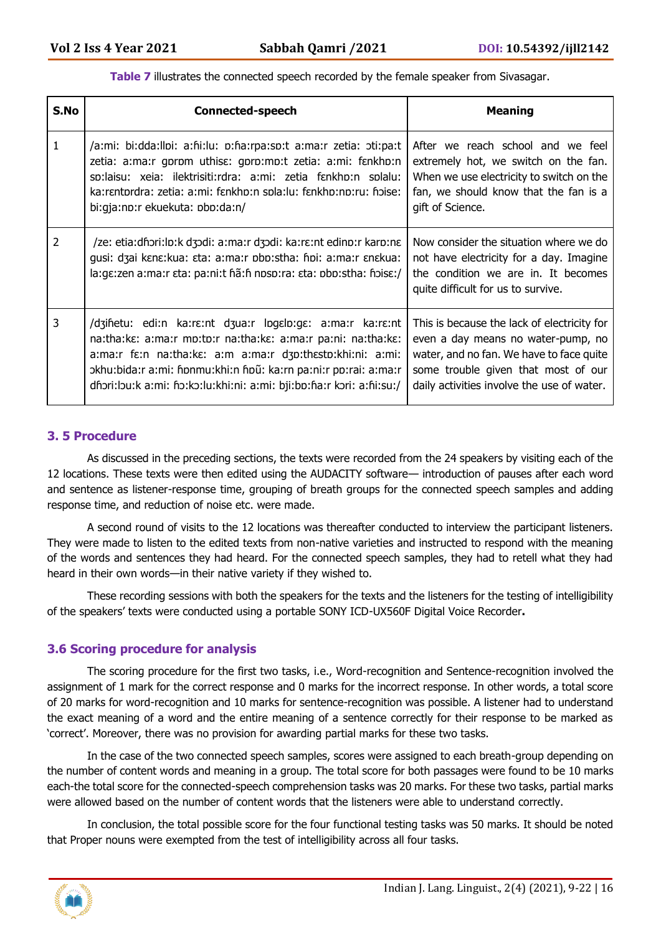**Table 7** illustrates the connected speech recorded by the female speaker from Sivasagar.

| S.No           | <b>Connected-speech</b>                                                                                                                                                                                                                                                                                                                | <b>Meaning</b>                                                                                                                                                                                                     |
|----------------|----------------------------------------------------------------------------------------------------------------------------------------------------------------------------------------------------------------------------------------------------------------------------------------------------------------------------------------|--------------------------------------------------------------------------------------------------------------------------------------------------------------------------------------------------------------------|
| 1              | /a:mi: bi:dda:llpi: a:fii:lu: p:fia:rpa:sp:t a:ma:r zetia: pti:pa:t<br>zetia: a:ma:r gprpm uthise: gprp:mp:t zetia: a:mi: fankhp:n<br>sp:laisu: xeia: ilektrisiti:rdra: a:mi: zetia fankhp:n splalu:<br>ka:rɛntprdra: zetia: a:mi: fɛnkhp:n spla:lu: fɛnkhp:np:ru: fiɔise:<br>bi:gja:np:r ekuekuta: pbp:da:n/                          | After we reach school and we feel<br>extremely hot, we switch on the fan.<br>When we use electricity to switch on the<br>fan, we should know that the fan is a<br>gift of Science.                                 |
| $\overline{2}$ | /ze: etia:dhori:lp:k dʒodi: a:ma:r dʒodi: ka:rɛ:nt edinp:r karp:nɛ<br>gusi: dzai kene: kua: eta: a: ma: r pbp: stha: fipi: a: ma: r enekua:<br>la:ge:zen a:ma:r ɛta: pa:ni:t ɦã:ɦ nɒsɒ:ra: ɛta: ɒbɒ:stha: ɦɔisɛ:/                                                                                                                      | Now consider the situation where we do<br>not have electricity for a day. Imagine<br>the condition we are in. It becomes<br>quite difficult for us to survive.                                                     |
| 3              | /dzinetu: edi:n ka:rɛ:nt dʒua:r logɛlo:gɛ: a:ma:r ka:rɛ:nt<br>na:tha:ke: a:ma:r mp:tp:r na:tha:ke: a:ma:r pa:ni: na:tha:ke:<br>a:ma:r fɛ:n na:tha:kɛ: a:m a:ma:r dʒɒ:thɛstɒ:khi:ni: a:mi:<br>okhu:bida:r a:mi: fipnmu:khi:n fipu: ka:rn pa:ni:r pp:rai: a:ma:r<br>dhori:lou:k a:mi: ho:ko:lu:khi:ni: a:mi: bji:bo:ha:r kori: a:hi:su:/ | This is because the lack of electricity for<br>even a day means no water-pump, no<br>water, and no fan. We have to face quite<br>some trouble given that most of our<br>daily activities involve the use of water. |

#### **3. 5 Procedure**

As discussed in the preceding sections, the texts were recorded from the 24 speakers by visiting each of the 12 locations. These texts were then edited using the AUDACITY software— introduction of pauses after each word and sentence as listener-response time, grouping of breath groups for the connected speech samples and adding response time, and reduction of noise etc. were made.

A second round of visits to the 12 locations was thereafter conducted to interview the participant listeners. They were made to listen to the edited texts from non-native varieties and instructed to respond with the meaning of the words and sentences they had heard. For the connected speech samples, they had to retell what they had heard in their own words—in their native variety if they wished to.

These recording sessions with both the speakers for the texts and the listeners for the testing of intelligibility of the speakers' texts were conducted using a portable SONY ICD-UX560F Digital Voice Recorder**.**

#### **3.6 Scoring procedure for analysis**

The scoring procedure for the first two tasks, i.e., Word-recognition and Sentence-recognition involved the assignment of 1 mark for the correct response and 0 marks for the incorrect response. In other words, a total score of 20 marks for word-recognition and 10 marks for sentence-recognition was possible. A listener had to understand the exact meaning of a word and the entire meaning of a sentence correctly for their response to be marked as 'correct'. Moreover, there was no provision for awarding partial marks for these two tasks.

In the case of the two connected speech samples, scores were assigned to each breath-group depending on the number of content words and meaning in a group. The total score for both passages were found to be 10 marks each-the total score for the connected-speech comprehension tasks was 20 marks. For these two tasks, partial marks were allowed based on the number of content words that the listeners were able to understand correctly.

In conclusion, the total possible score for the four functional testing tasks was 50 marks. It should be noted that Proper nouns were exempted from the test of intelligibility across all four tasks.

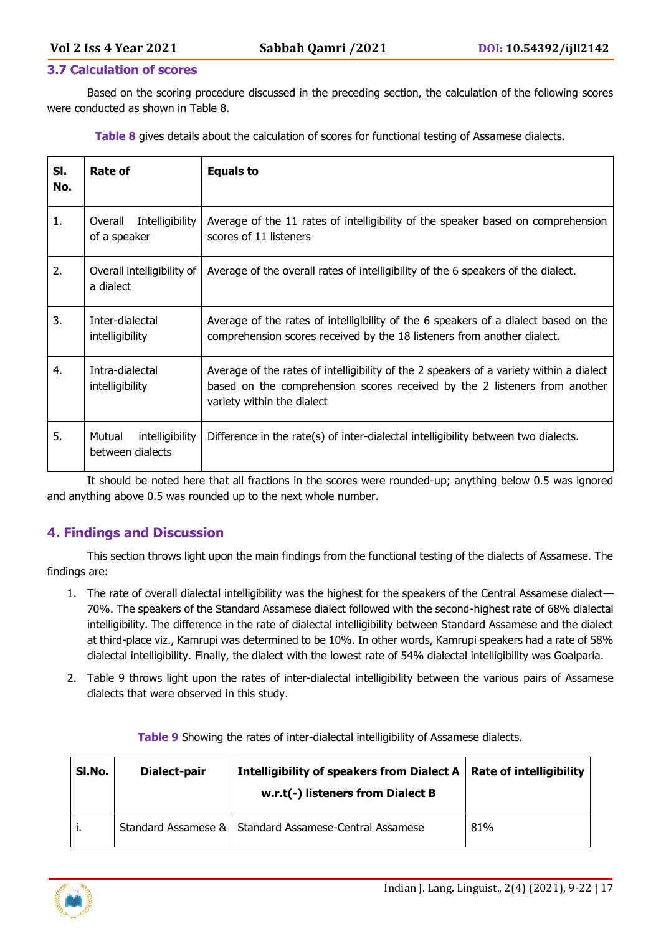#### **3.7 Calculation of scores**

Based on the scoring procedure discussed in the preceding section, the calculation of the following scores were conducted as shown in Table 8.

**Table 8** gives details about the calculation of scores for functional testing of Assamese dialects.

| SI.<br>No. | Rate of                                       | <b>Equals to</b>                                                                                                                                                                                    |
|------------|-----------------------------------------------|-----------------------------------------------------------------------------------------------------------------------------------------------------------------------------------------------------|
| 1.         | Intelligibility<br>Overall<br>of a speaker    | Average of the 11 rates of intelligibility of the speaker based on comprehension<br>scores of 11 listeners                                                                                          |
| 2.         | Overall intelligibility of<br>a dialect       | Average of the overall rates of intelligibility of the 6 speakers of the dialect.                                                                                                                   |
| 3.         | Inter-dialectal<br>intelligibility            | Average of the rates of intelligibility of the 6 speakers of a dialect based on the<br>comprehension scores received by the 18 listeners from another dialect.                                      |
| 4.         | Intra-dialectal<br>intelligibility            | Average of the rates of intelligibility of the 2 speakers of a variety within a dialect<br>based on the comprehension scores received by the 2 listeners from another<br>variety within the dialect |
| 5.         | intelligibility<br>Mutual<br>between dialects | Difference in the rate(s) of inter-dialectal intelligibility between two dialects.                                                                                                                  |

It should be noted here that all fractions in the scores were rounded-up; anything below 0.5 was ignored and anything above 0.5 was rounded up to the next whole number.

# **4. Findings and Discussion**

This section throws light upon the main findings from the functional testing of the dialects of Assamese. The findings are:

- 1. The rate of overall dialectal intelligibility was the highest for the speakers of the Central Assamese dialect— 70%. The speakers of the Standard Assamese dialect followed with the second-highest rate of 68% dialectal intelligibility. The difference in the rate of dialectal intelligibility between Standard Assamese and the dialect at third-place viz., Kamrupi was determined to be 10%. In other words, Kamrupi speakers had a rate of 58% dialectal intelligibility. Finally, the dialect with the lowest rate of 54% dialectal intelligibility was Goalparia.
- 2. Table 9 throws light upon the rates of inter-dialectal intelligibility between the various pairs of Assamese dialects that were observed in this study.

| SI.No. | Dialect-pair | Intelligibility of speakers from Dialect $A \mid Rate$ of intelligibility<br>w.r.t(-) listeners from Dialect B |     |
|--------|--------------|----------------------------------------------------------------------------------------------------------------|-----|
| . .    |              | Standard Assamese &   Standard Assamese-Central Assamese                                                       | 81% |

**Table 9** Showing the rates of inter-dialectal intelligibility of Assamese dialects.

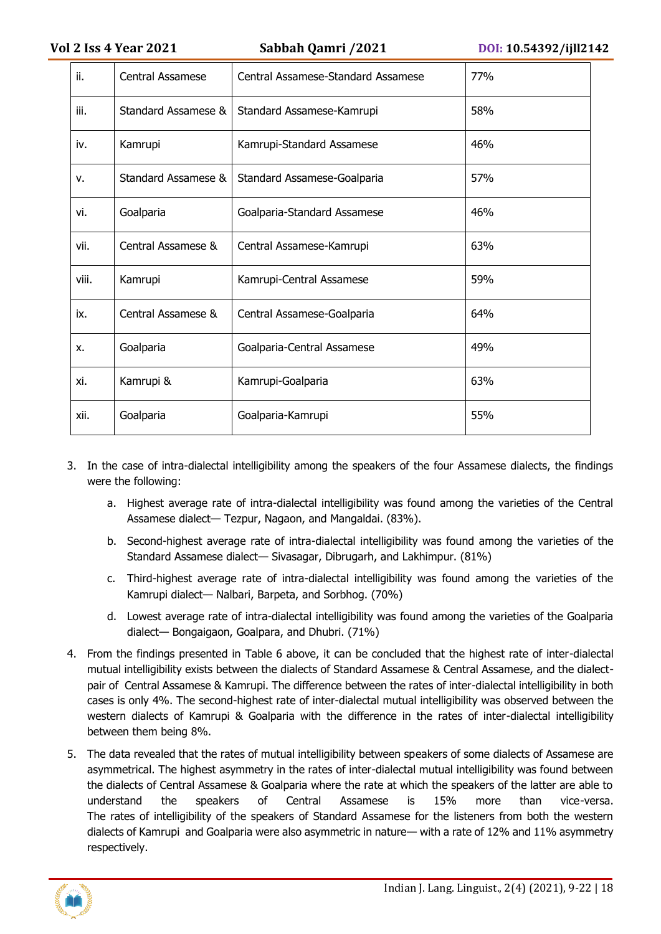| ii.   | Central Assamese    | Central Assamese-Standard Assamese | 77% |
|-------|---------------------|------------------------------------|-----|
| iii.  | Standard Assamese & | Standard Assamese-Kamrupi          | 58% |
| iv.   | Kamrupi             | Kamrupi-Standard Assamese          | 46% |
| v.    | Standard Assamese & | Standard Assamese-Goalparia        | 57% |
| vi.   | Goalparia           | Goalparia-Standard Assamese        | 46% |
| vii.  | Central Assamese &  | Central Assamese-Kamrupi           | 63% |
| viii. | Kamrupi             | Kamrupi-Central Assamese           | 59% |
| ix.   | Central Assamese &  | Central Assamese-Goalparia         | 64% |
| X.    | Goalparia           | Goalparia-Central Assamese         | 49% |
| xi.   | Kamrupi &           | Kamrupi-Goalparia                  | 63% |
| xii.  | Goalparia           | Goalparia-Kamrupi                  | 55% |

- 3. In the case of intra-dialectal intelligibility among the speakers of the four Assamese dialects, the findings were the following:
	- a. Highest average rate of intra-dialectal intelligibility was found among the varieties of the Central Assamese dialect— Tezpur, Nagaon, and Mangaldai. (83%).
	- b. Second-highest average rate of intra-dialectal intelligibility was found among the varieties of the Standard Assamese dialect— Sivasagar, Dibrugarh, and Lakhimpur. (81%)
	- c. Third-highest average rate of intra-dialectal intelligibility was found among the varieties of the Kamrupi dialect— Nalbari, Barpeta, and Sorbhog. (70%)
	- d. Lowest average rate of intra-dialectal intelligibility was found among the varieties of the Goalparia dialect— Bongaigaon, Goalpara, and Dhubri. (71%)
- 4. From the findings presented in Table 6 above, it can be concluded that the highest rate of inter-dialectal mutual intelligibility exists between the dialects of Standard Assamese & Central Assamese, and the dialectpair of Central Assamese & Kamrupi. The difference between the rates of inter-dialectal intelligibility in both cases is only 4%. The second-highest rate of inter-dialectal mutual intelligibility was observed between the western dialects of Kamrupi & Goalparia with the difference in the rates of inter-dialectal intelligibility between them being 8%.
- 5. The data revealed that the rates of mutual intelligibility between speakers of some dialects of Assamese are asymmetrical. The highest asymmetry in the rates of inter-dialectal mutual intelligibility was found between the dialects of Central Assamese & Goalparia where the rate at which the speakers of the latter are able to understand the speakers of Central Assamese is 15% more than vice-versa. The rates of intelligibility of the speakers of Standard Assamese for the listeners from both the western dialects of Kamrupi and Goalparia were also asymmetric in nature— with a rate of 12% and 11% asymmetry respectively.

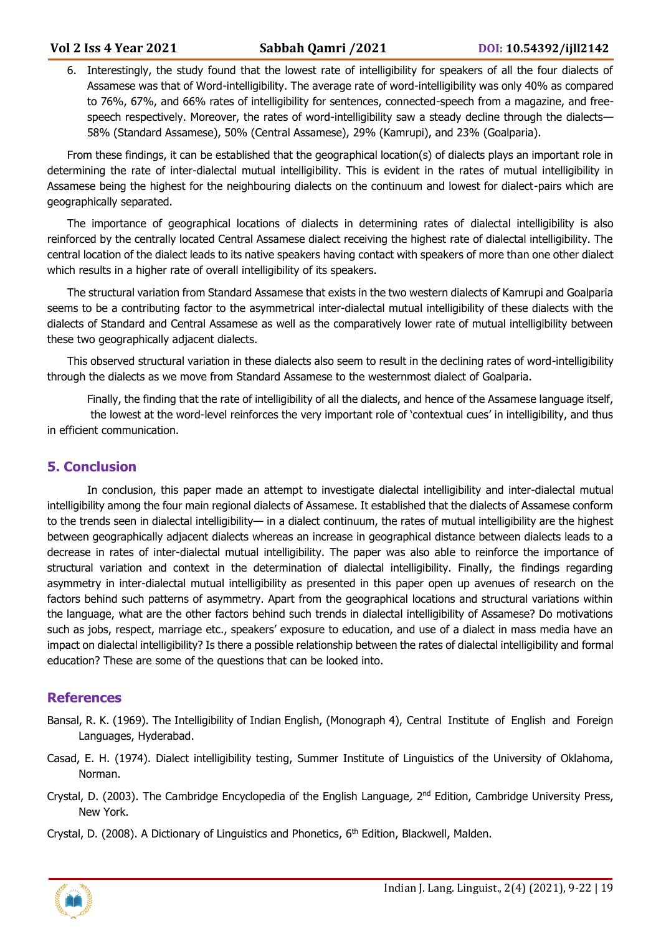6. Interestingly, the study found that the lowest rate of intelligibility for speakers of all the four dialects of Assamese was that of Word-intelligibility. The average rate of word-intelligibility was only 40% as compared to 76%, 67%, and 66% rates of intelligibility for sentences, connected-speech from a magazine, and freespeech respectively. Moreover, the rates of word-intelligibility saw a steady decline through the dialects— 58% (Standard Assamese), 50% (Central Assamese), 29% (Kamrupi), and 23% (Goalparia).

From these findings, it can be established that the geographical location(s) of dialects plays an important role in determining the rate of inter-dialectal mutual intelligibility. This is evident in the rates of mutual intelligibility in Assamese being the highest for the neighbouring dialects on the continuum and lowest for dialect-pairs which are geographically separated.

The importance of geographical locations of dialects in determining rates of dialectal intelligibility is also reinforced by the centrally located Central Assamese dialect receiving the highest rate of dialectal intelligibility. The central location of the dialect leads to its native speakers having contact with speakers of more than one other dialect which results in a higher rate of overall intelligibility of its speakers.

The structural variation from Standard Assamese that exists in the two western dialects of Kamrupi and Goalparia seems to be a contributing factor to the asymmetrical inter-dialectal mutual intelligibility of these dialects with the dialects of Standard and Central Assamese as well as the comparatively lower rate of mutual intelligibility between these two geographically adjacent dialects.

This observed structural variation in these dialects also seem to result in the declining rates of word-intelligibility through the dialects as we move from Standard Assamese to the westernmost dialect of Goalparia.

Finally, the finding that the rate of intelligibility of all the dialects, and hence of the Assamese language itself, the lowest at the word-level reinforces the very important role of 'contextual cues' in intelligibility, and thus in efficient communication.

# **5. Conclusion**

In conclusion, this paper made an attempt to investigate dialectal intelligibility and inter-dialectal mutual intelligibility among the four main regional dialects of Assamese. It established that the dialects of Assamese conform to the trends seen in dialectal intelligibility— in a dialect continuum, the rates of mutual intelligibility are the highest between geographically adjacent dialects whereas an increase in geographical distance between dialects leads to a decrease in rates of inter-dialectal mutual intelligibility. The paper was also able to reinforce the importance of structural variation and context in the determination of dialectal intelligibility. Finally, the findings regarding asymmetry in inter-dialectal mutual intelligibility as presented in this paper open up avenues of research on the factors behind such patterns of asymmetry. Apart from the geographical locations and structural variations within the language, what are the other factors behind such trends in dialectal intelligibility of Assamese? Do motivations such as jobs, respect, marriage etc., speakers' exposure to education, and use of a dialect in mass media have an impact on dialectal intelligibility? Is there a possible relationship between the rates of dialectal intelligibility and formal education? These are some of the questions that can be looked into.

#### **References**

- Bansal, R. K. (1969). The Intelligibility of Indian English, (Monograph 4), Central Institute of English and Foreign Languages, Hyderabad.
- Casad, E. H. (1974). Dialect intelligibility testing, Summer Institute of Linguistics of the University of Oklahoma, Norman.
- Crystal, D. (2003). The Cambridge Encyclopedia of the English Language, 2<sup>nd</sup> Edition, Cambridge University Press, New York.
- Crystal, D. (2008). A Dictionary of Linguistics and Phonetics,  $6<sup>th</sup>$  Edition, Blackwell, Malden.

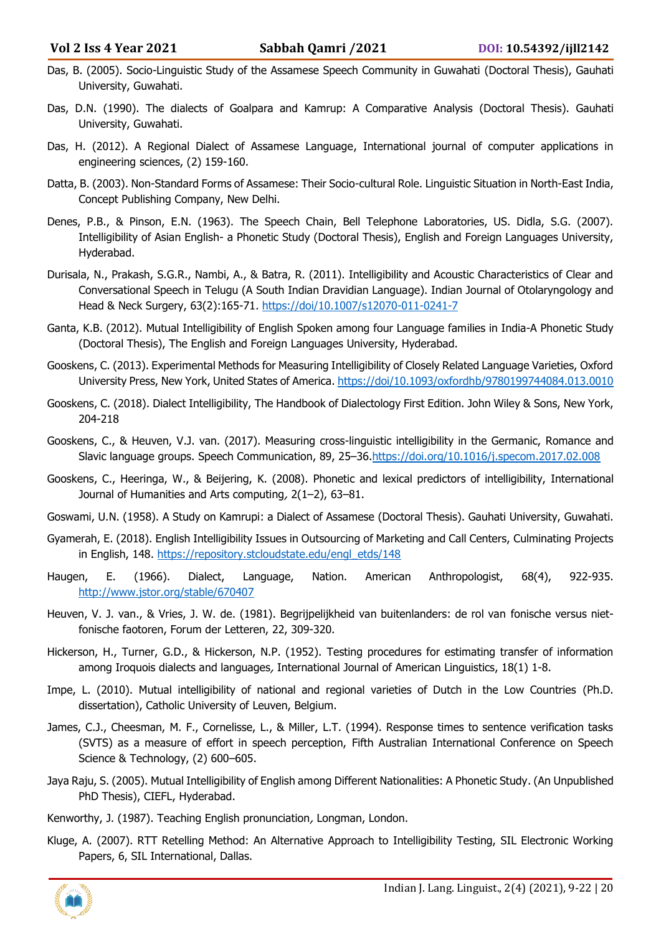- Das, B. (2005). Socio-Linguistic Study of the Assamese Speech Community in Guwahati (Doctoral Thesis), Gauhati University, Guwahati.
- Das, D.N. (1990). The dialects of Goalpara and Kamrup: A Comparative Analysis (Doctoral Thesis). Gauhati University, Guwahati.
- Das, H. (2012). A Regional Dialect of Assamese Language, International journal of computer applications in engineering sciences, (2) 159-160.
- Datta, B. (2003). Non-Standard Forms of Assamese: Their Socio-cultural Role. Linguistic Situation in North-East India, Concept Publishing Company, New Delhi.
- Denes, P.B., & Pinson, E.N. (1963). The Speech Chain, Bell Telephone Laboratories, US. Didla, S.G. (2007). Intelligibility of Asian English- a Phonetic Study (Doctoral Thesis), English and Foreign Languages University, Hyderabad.
- Durisala, N., Prakash, S.G.R., Nambi, A., & Batra, R. (2011). Intelligibility and Acoustic Characteristics of Clear and Conversational Speech in Telugu (A South Indian Dravidian Language). Indian Journal of Otolaryngology and Head & Neck Surgery, 63(2):165-71. <https://doi/10.1007/s12070-011-0241-7>
- Ganta, K.B. (2012). Mutual Intelligibility of English Spoken among four Language families in India-A Phonetic Study (Doctoral Thesis), The English and Foreign Languages University, Hyderabad.
- Gooskens, C. (2013). Experimental Methods for Measuring Intelligibility of Closely Related Language Varieties, Oxford University Press, New York, United States of America.<https://doi/10.1093/oxfordhb/9780199744084.013.0010>
- Gooskens, C. (2018). Dialect Intelligibility, The Handbook of Dialectology First Edition. John Wiley & Sons, New York, 204-218
- Gooskens, C., & Heuven, V.J. van. (2017). Measuring cross-linguistic intelligibility in the Germanic, Romance and Slavic language groups. Speech Communication, 89, 25–36[.https://doi.org/10.1016/j.specom.2017.02.008](https://doi.org/10.1016/j.specom.2017.02.008)
- Gooskens, C., Heeringa, W., & Beijering, K. (2008). Phonetic and lexical predictors of intelligibility, International Journal of Humanities and Arts computing, 2(1–2), 63–81.
- Goswami, U.N. (1958). A Study on Kamrupi: a Dialect of Assamese (Doctoral Thesis). Gauhati University, Guwahati.
- Gyamerah, E. (2018). English Intelligibility Issues in Outsourcing of Marketing and Call Centers, Culminating Projects in English, 148. [https://repository.stcloudstate.edu/engl\\_etds/148](https://repository.stcloudstate.edu/engl_etds/148)
- Haugen, E. (1966). Dialect, Language, Nation. American Anthropologist, 68(4), 922-935. <http://www.jstor.org/stable/670407>
- Heuven, V. J. van., & Vries, J. W. de. (1981). Begrijpelijkheid van buitenlanders: de rol van fonische versus nietfonische faotoren, Forum der Letteren, 22, 309-320.
- Hickerson, H., Turner, G.D., & Hickerson, N.P. (1952). Testing procedures for estimating transfer of information among Iroquois dialects and languages, International Journal of American Linguistics, 18(1) 1-8.
- Impe, L. (2010). Mutual intelligibility of national and regional varieties of Dutch in the Low Countries (Ph.D. dissertation), Catholic University of Leuven, Belgium.
- James, C.J., Cheesman, M. F., Cornelisse, L., & Miller, L.T. (1994). Response times to sentence verification tasks (SVTS) as a measure of effort in speech perception, Fifth Australian International Conference on Speech Science & Technology, (2) 600–605.
- Jaya Raju, S. (2005). Mutual Intelligibility of English among Different Nationalities: A Phonetic Study. (An Unpublished PhD Thesis), CIEFL, Hyderabad.
- Kenworthy, J. (1987). Teaching English pronunciation, Longman, London.
- Kluge, A. (2007). RTT Retelling Method: An Alternative Approach to Intelligibility Testing, SIL Electronic Working Papers, 6, SIL International, Dallas.

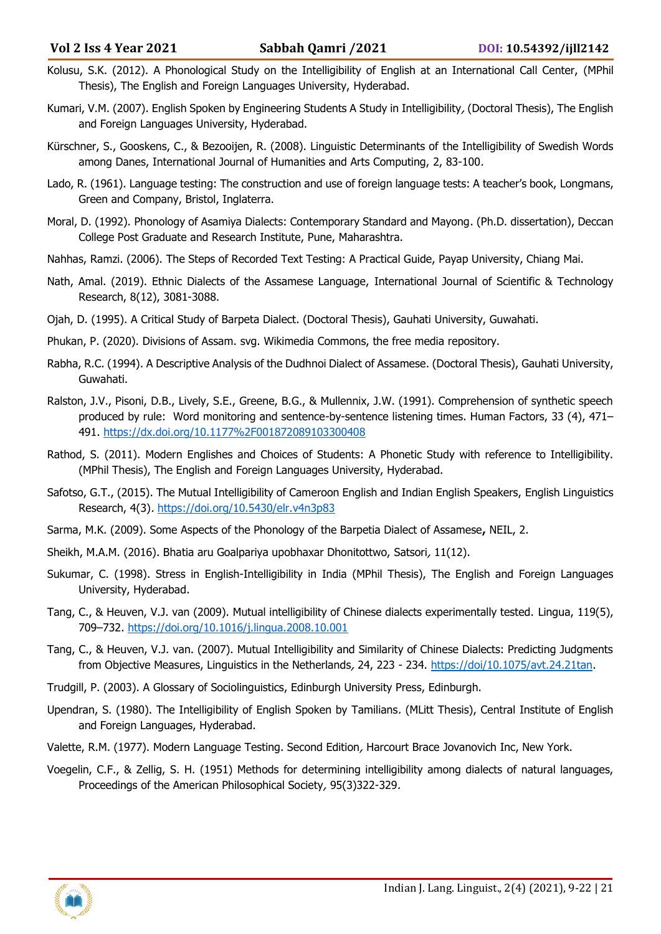- Kolusu, S.K. (2012). A Phonological Study on the Intelligibility of English at an International Call Center, (MPhil Thesis), The English and Foreign Languages University, Hyderabad.
- Kumari, V.M. (2007). English Spoken by Engineering Students A Study in Intelligibility, (Doctoral Thesis), The English and Foreign Languages University, Hyderabad.
- Kürschner, S., Gooskens, C., & Bezooijen, R. (2008). Linguistic Determinants of the Intelligibility of Swedish Words among Danes, International Journal of Humanities and Arts Computing, 2, 83-100.
- Lado, R. (1961). Language testing: The construction and use of foreign language tests: A teacher's book, Longmans, Green and Company, Bristol, Inglaterra.
- Moral, D. (1992). Phonology of Asamiya Dialects: Contemporary Standard and Mayong. (Ph.D. dissertation), Deccan College Post Graduate and Research Institute, Pune, Maharashtra.
- Nahhas, Ramzi. (2006). The Steps of Recorded Text Testing: A Practical Guide, Payap University, Chiang Mai.
- Nath, Amal. (2019). Ethnic Dialects of the Assamese Language, International Journal of Scientific & Technology Research, 8(12), 3081-3088.
- Ojah, D. (1995). A Critical Study of Barpeta Dialect. (Doctoral Thesis), Gauhati University, Guwahati.
- Phukan, P. (2020). Divisions of Assam. svg. Wikimedia Commons, the free media repository.
- Rabha, R.C. (1994). A Descriptive Analysis of the Dudhnoi Dialect of Assamese. (Doctoral Thesis), Gauhati University, Guwahati.
- Ralston, J.V., Pisoni, D.B., Lively, S.E., Greene, B.G., & Mullennix, J.W. (1991). Comprehension of synthetic speech produced by rule: Word monitoring and sentence-by-sentence listening times. Human Factors, 33 (4), 471– 491.<https://dx.doi.org/10.1177%2F001872089103300408>
- Rathod, S. (2011). Modern Englishes and Choices of Students: A Phonetic Study with reference to Intelligibility. (MPhil Thesis), The English and Foreign Languages University, Hyderabad.
- Safotso, G.T., (2015). The Mutual Intelligibility of Cameroon English and Indian English Speakers, English Linguistics Research, 4(3). <https://doi.org/10.5430/elr.v4n3p83>
- Sarma, M.K. (2009). Some Aspects of the Phonology of the Barpetia Dialect of Assamese**,** NEIL, 2.
- Sheikh, M.A.M. (2016). Bhatia aru Goalpariya upobhaxar Dhonitottwo, Satsori, 11(12).
- Sukumar, C. (1998). Stress in English-Intelligibility in India (MPhil Thesis), The English and Foreign Languages University, Hyderabad.
- Tang, C., & Heuven, V.J. van (2009). Mutual intelligibility of Chinese dialects experimentally tested. Lingua, 119(5), 709–732.<https://doi.org/10.1016/j.lingua.2008.10.001>
- Tang, C., & Heuven, V.J. van. (2007). Mutual Intelligibility and Similarity of Chinese Dialects: Predicting Judgments from Objective Measures, Linguistics in the Netherlands, 24, 223 - 234. [https://doi/10.1075/avt.24.21tan.](https://doi/10.1075/avt.24.21tan)
- Trudgill, P. (2003). A Glossary of Sociolinguistics, Edinburgh University Press, Edinburgh.
- Upendran, S. (1980). The Intelligibility of English Spoken by Tamilians. (MLitt Thesis), Central Institute of English and Foreign Languages, Hyderabad.
- Valette, R.M. (1977). Modern Language Testing. Second Edition, Harcourt Brace Jovanovich Inc, New York.
- Voegelin, C.F., & Zellig, S. H. (1951) Methods for determining intelligibility among dialects of natural languages, Proceedings of the American Philosophical Society, 95(3)322-329.